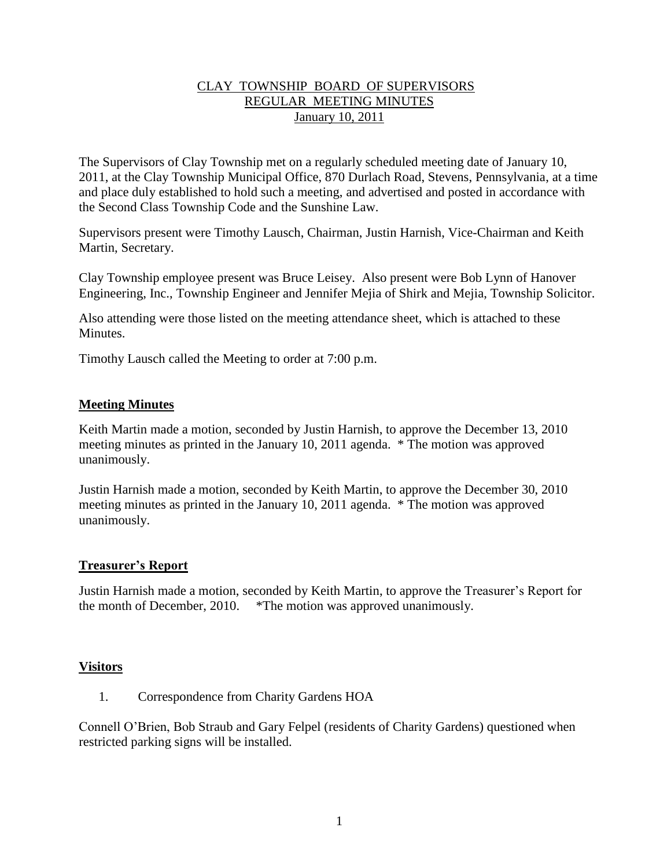## CLAY TOWNSHIP BOARD OF SUPERVISORS REGULAR MEETING MINUTES January 10, 2011

The Supervisors of Clay Township met on a regularly scheduled meeting date of January 10, 2011, at the Clay Township Municipal Office, 870 Durlach Road, Stevens, Pennsylvania, at a time and place duly established to hold such a meeting, and advertised and posted in accordance with the Second Class Township Code and the Sunshine Law.

Supervisors present were Timothy Lausch, Chairman, Justin Harnish, Vice-Chairman and Keith Martin, Secretary.

Clay Township employee present was Bruce Leisey. Also present were Bob Lynn of Hanover Engineering, Inc., Township Engineer and Jennifer Mejia of Shirk and Mejia, Township Solicitor.

Also attending were those listed on the meeting attendance sheet, which is attached to these Minutes.

Timothy Lausch called the Meeting to order at 7:00 p.m.

## **Meeting Minutes**

Keith Martin made a motion, seconded by Justin Harnish, to approve the December 13, 2010 meeting minutes as printed in the January 10, 2011 agenda. \* The motion was approved unanimously.

Justin Harnish made a motion, seconded by Keith Martin, to approve the December 30, 2010 meeting minutes as printed in the January 10, 2011 agenda. \* The motion was approved unanimously.

### **Treasurer's Report**

Justin Harnish made a motion, seconded by Keith Martin, to approve the Treasurer's Report for the month of December, 2010. \*The motion was approved unanimously.

### **Visitors**

1. Correspondence from Charity Gardens HOA

Connell O'Brien, Bob Straub and Gary Felpel (residents of Charity Gardens) questioned when restricted parking signs will be installed.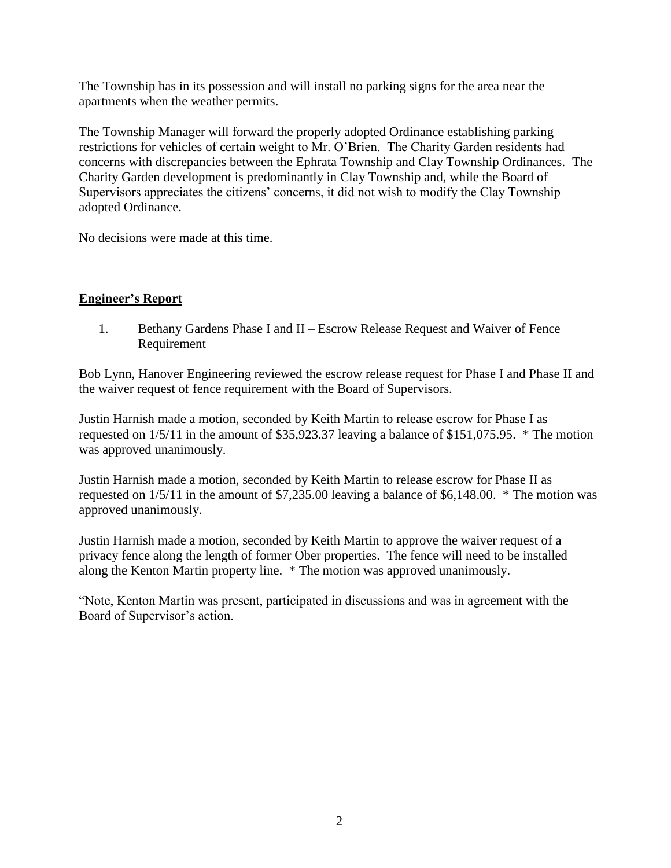The Township has in its possession and will install no parking signs for the area near the apartments when the weather permits.

The Township Manager will forward the properly adopted Ordinance establishing parking restrictions for vehicles of certain weight to Mr. O'Brien. The Charity Garden residents had concerns with discrepancies between the Ephrata Township and Clay Township Ordinances. The Charity Garden development is predominantly in Clay Township and, while the Board of Supervisors appreciates the citizens' concerns, it did not wish to modify the Clay Township adopted Ordinance.

No decisions were made at this time.

## **Engineer's Report**

1. Bethany Gardens Phase I and II – Escrow Release Request and Waiver of Fence Requirement

Bob Lynn, Hanover Engineering reviewed the escrow release request for Phase I and Phase II and the waiver request of fence requirement with the Board of Supervisors.

Justin Harnish made a motion, seconded by Keith Martin to release escrow for Phase I as requested on 1/5/11 in the amount of \$35,923.37 leaving a balance of \$151,075.95. \* The motion was approved unanimously.

Justin Harnish made a motion, seconded by Keith Martin to release escrow for Phase II as requested on 1/5/11 in the amount of \$7,235.00 leaving a balance of \$6,148.00. \* The motion was approved unanimously.

Justin Harnish made a motion, seconded by Keith Martin to approve the waiver request of a privacy fence along the length of former Ober properties. The fence will need to be installed along the Kenton Martin property line. \* The motion was approved unanimously.

"Note, Kenton Martin was present, participated in discussions and was in agreement with the Board of Supervisor's action.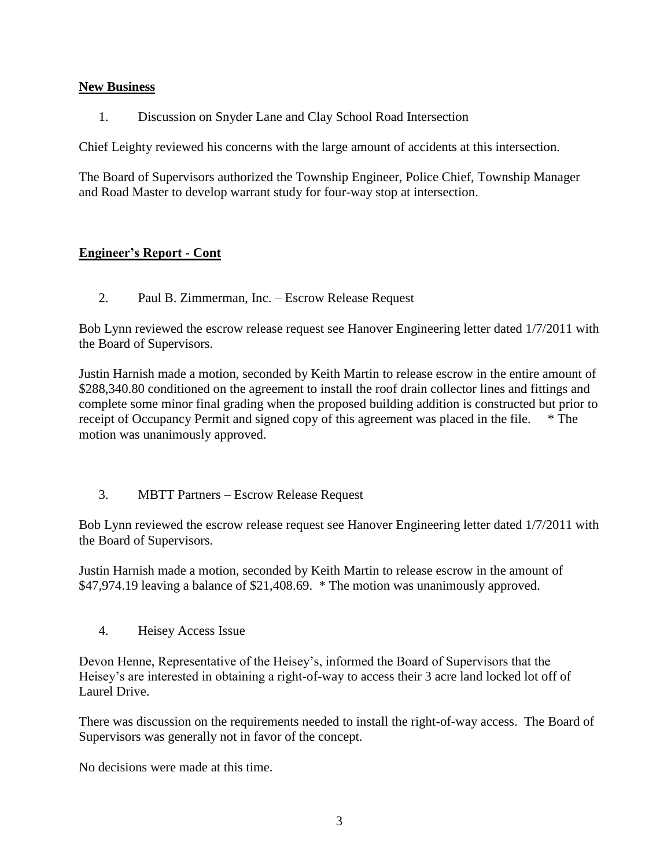## **New Business**

1. Discussion on Snyder Lane and Clay School Road Intersection

Chief Leighty reviewed his concerns with the large amount of accidents at this intersection.

The Board of Supervisors authorized the Township Engineer, Police Chief, Township Manager and Road Master to develop warrant study for four-way stop at intersection.

# **Engineer's Report - Cont**

2. Paul B. Zimmerman, Inc. – Escrow Release Request

Bob Lynn reviewed the escrow release request see Hanover Engineering letter dated 1/7/2011 with the Board of Supervisors.

Justin Harnish made a motion, seconded by Keith Martin to release escrow in the entire amount of \$288,340.80 conditioned on the agreement to install the roof drain collector lines and fittings and complete some minor final grading when the proposed building addition is constructed but prior to receipt of Occupancy Permit and signed copy of this agreement was placed in the file. \* The motion was unanimously approved.

3. MBTT Partners – Escrow Release Request

Bob Lynn reviewed the escrow release request see Hanover Engineering letter dated 1/7/2011 with the Board of Supervisors.

Justin Harnish made a motion, seconded by Keith Martin to release escrow in the amount of \$47,974.19 leaving a balance of \$21,408.69. \* The motion was unanimously approved.

4. Heisey Access Issue

Devon Henne, Representative of the Heisey's, informed the Board of Supervisors that the Heisey's are interested in obtaining a right-of-way to access their 3 acre land locked lot off of Laurel Drive.

There was discussion on the requirements needed to install the right-of-way access. The Board of Supervisors was generally not in favor of the concept.

No decisions were made at this time.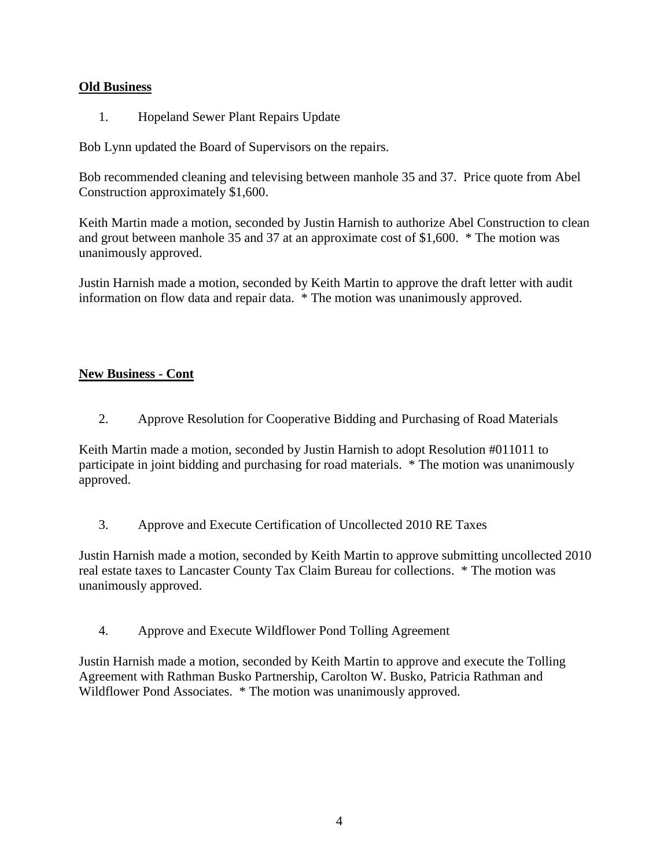## **Old Business**

1. Hopeland Sewer Plant Repairs Update

Bob Lynn updated the Board of Supervisors on the repairs.

Bob recommended cleaning and televising between manhole 35 and 37. Price quote from Abel Construction approximately \$1,600.

Keith Martin made a motion, seconded by Justin Harnish to authorize Abel Construction to clean and grout between manhole 35 and 37 at an approximate cost of \$1,600. \* The motion was unanimously approved.

Justin Harnish made a motion, seconded by Keith Martin to approve the draft letter with audit information on flow data and repair data. \* The motion was unanimously approved.

# **New Business - Cont**

2. Approve Resolution for Cooperative Bidding and Purchasing of Road Materials

Keith Martin made a motion, seconded by Justin Harnish to adopt Resolution #011011 to participate in joint bidding and purchasing for road materials. \* The motion was unanimously approved.

3. Approve and Execute Certification of Uncollected 2010 RE Taxes

Justin Harnish made a motion, seconded by Keith Martin to approve submitting uncollected 2010 real estate taxes to Lancaster County Tax Claim Bureau for collections. \* The motion was unanimously approved.

4. Approve and Execute Wildflower Pond Tolling Agreement

Justin Harnish made a motion, seconded by Keith Martin to approve and execute the Tolling Agreement with Rathman Busko Partnership, Carolton W. Busko, Patricia Rathman and Wildflower Pond Associates. \* The motion was unanimously approved.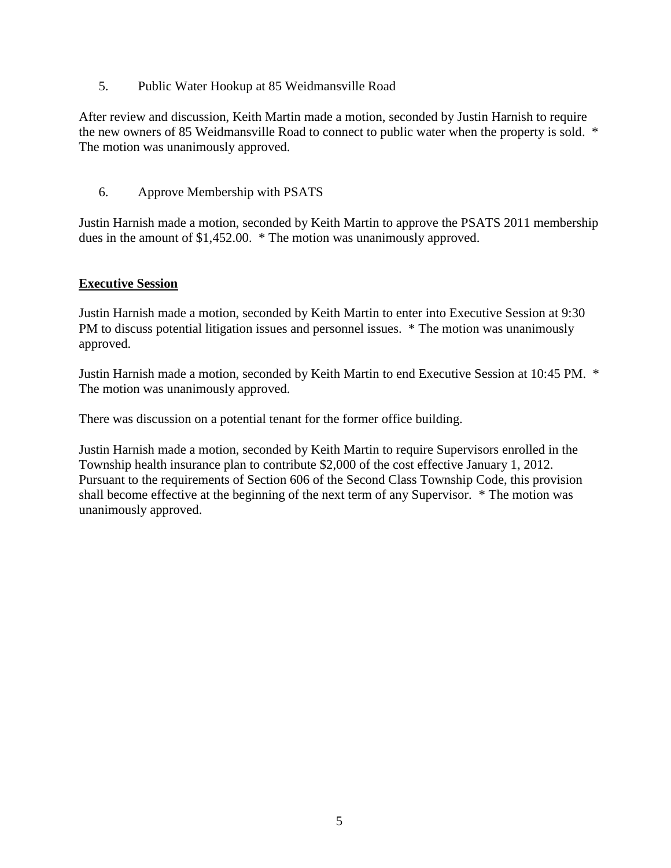5. Public Water Hookup at 85 Weidmansville Road

After review and discussion, Keith Martin made a motion, seconded by Justin Harnish to require the new owners of 85 Weidmansville Road to connect to public water when the property is sold. \* The motion was unanimously approved.

6. Approve Membership with PSATS

Justin Harnish made a motion, seconded by Keith Martin to approve the PSATS 2011 membership dues in the amount of \$1,452.00. \* The motion was unanimously approved.

## **Executive Session**

Justin Harnish made a motion, seconded by Keith Martin to enter into Executive Session at 9:30 PM to discuss potential litigation issues and personnel issues. \* The motion was unanimously approved.

Justin Harnish made a motion, seconded by Keith Martin to end Executive Session at 10:45 PM. \* The motion was unanimously approved.

There was discussion on a potential tenant for the former office building.

Justin Harnish made a motion, seconded by Keith Martin to require Supervisors enrolled in the Township health insurance plan to contribute \$2,000 of the cost effective January 1, 2012. Pursuant to the requirements of Section 606 of the Second Class Township Code, this provision shall become effective at the beginning of the next term of any Supervisor. \* The motion was unanimously approved.